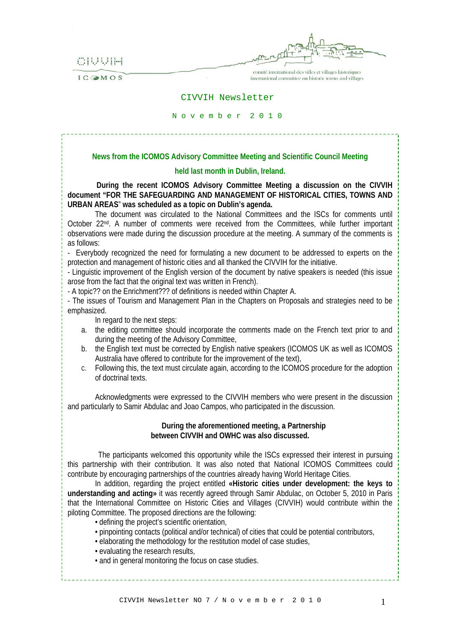CIUUIH

IC OMOS

comité international des villes et villages historiques international committee on historic towns and villages

#### CIVVIH Newsletter

#### N o v e m b e r 2 0 1 0

### **News from the ICOMOS Advisory Committee Meeting and Scientific Council Meeting**

#### **held last month in Dublin, Ireland.**

 **During the recent ICOMOS Advisory Committee Meeting a discussion on the CIVVIH document "FOR THE SAFEGUARDING AND MANAGEMENT OF HISTORICAL CITIES, TOWNS AND URBAN AREAS**" **was scheduled as a topic on Dublin's agenda.** 

The document was circulated to the National Committees and the ISCs for comments until October 22nd. A number of comments were received from the Committees, while further important observations were made during the discussion procedure at the meeting. A summary of the comments is as follows:

- Everybody recognized the need for formulating a new document to be addressed to experts on the protection and management of historic cities and all thanked the CIVVIH for the initiative.

- Linguistic improvement of the English version of the document by native speakers is needed (this issue arose from the fact that the original text was written in French).

- A topic?? on the Enrichment??? of definitions is needed within Chapter A.

- The issues of Tourism and Management Plan in the Chapters on Proposals and strategies need to be emphasized.

In regard to the next steps:

- a. the editing committee should incorporate the comments made on the French text prior to and during the meeting of the Advisory Committee,
- b. the English text must be corrected by English native speakers (ICOMOS UK as well as ICOMOS Australia have offered to contribute for the improvement of the text),
- c. Following this, the text must circulate again, according to the ICOMOS procedure for the adoption of doctrinal texts.

Acknowledgments were expressed to the CIVVIH members who were present in the discussion and particularly to Samir Abdulac and Joao Campos, who participated in the discussion.

#### **During the aforementioned meeting, a Partnership between CIVVIH and OWHC was also discussed.**

 The participants welcomed this opportunity while the ISCs expressed their interest in pursuing this partnership with their contribution. It was also noted that National ICOMOS Committees could contribute by encouraging partnerships of the countries already having World Heritage Cities.

In addition, regarding the project entitled **«Historic cities under development: the keys to understanding and acting»** it was recently agreed through Samir Abdulac, on October 5, 2010 in Paris that the International Committee on Historic Cities and Villages (CIVVIH) would contribute within the piloting Committee. The proposed directions are the following:

- defining the project's scientific orientation,
- pinpointing contacts (political and/or technical) of cities that could be potential contributors,
- elaborating the methodology for the restitution model of case studies,
- evaluating the research results,
- and in general monitoring the focus on case studies.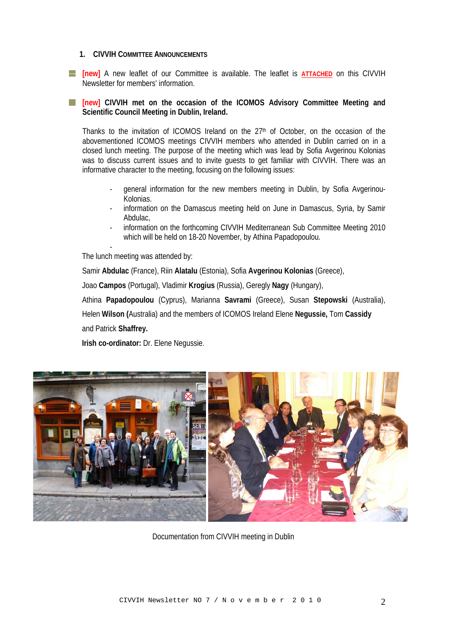## **1. CIVVIH COMMITTEE ANNOUNCEMENTS**

**[new]** A new leaflet of our Committee is available. The leaflet is **ATTACHED** on this CIVVIH Newsletter for members' information.

## **[new] CIVVIH met on the occasion of the ICOMOS Advisory Committee Meeting and Scientific Council Meeting in Dublin, Ireland.**

Thanks to the invitation of ICOMOS Ireland on the  $27<sup>th</sup>$  of October, on the occasion of the abovementioned ICOMOS meetings CIVVIH members who attended in Dublin carried on in a closed lunch meeting. The purpose of the meeting which was lead by Sofia Avgerinou Kolonias was to discuss current issues and to invite guests to get familiar with CIVVIH. There was an informative character to the meeting, focusing on the following issues:

- general information for the new members meeting in Dublin, by Sofia Avgerinou-Kolonias.
- information on the Damascus meeting held on June in Damascus, Syria, by Samir Abdulac,
- information on the forthcoming CIVVIH Mediterranean Sub Committee Meeting 2010 which will be held on 18-20 November, by Athina Papadopoulou.

The lunch meeting was attended by:

-

Samir **Abdulac** (France), Riin **Alatalu** (Estonia), Sofia **Avgerinou Kolonias** (Greece),

Joao **Campos** (Portugal), Vladimir **Krogius** (Russia), Geregly **Nagy** (Hungary),

Athina **Papadopoulou** (Cyprus), Marianna **Savrami** (Greece), Susan **Stepowski** (Australia),

 Helen **Wilson (**Australia) and the members of ICOMOS Ireland Elene **Negussie,** Tom **Cassidy** and Patrick **Shaffrey.**

**Irish co-ordinator:** Dr. Elene Negussie.



Documentation from CIVVIH meeting in Dublin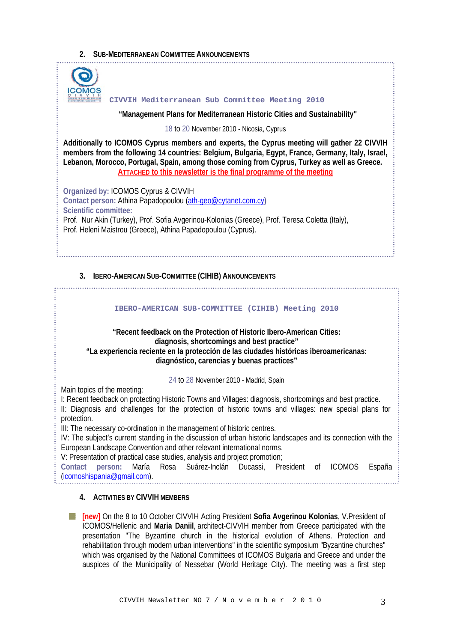# **2. SUB-MEDITERRANEAN COMMITTEE ANNOUNCEMENTS**



#### **CIVVIH Mediterranean Sub Committee Meeting 2010**

 **"Management Plans for Mediterranean Historic Cities and Sustainability''** 

18 to 20 November 2010 - Nicosia, Cyprus

**Additionally to ICOMOS Cyprus members and experts, the Cyprus meeting will gather 22 CIVVIH members from the following 14 countries: Belgium, Bulgaria, Egypt, France, Germany, Italy, Israel, Lebanon, Morocco, Portugal, Spain, among those coming from Cyprus, Turkey as well as Greece. ATTACHED to this newsletter is the final programme of the meeting**

**Organized by:** ICOMOS Cyprus & CIVVIH **Contact person:** Athina Papadopoulou [\(ath-geo@cytanet.com.cy](mailto:ath-geo@cytanet.com.cy)**) Scientific committee:**  Prof. Nur Akin (Turkey), Prof. Sofia Avgerinou-Kolonias (Greece), Prof. Teresa Coletta (Italy), Prof. Heleni Maistrou (Greece), Athina Papadopoulou (Cyprus).

## **3. IBERO-AMERICAN SUB-COMMITTEE (CIHIB) ANNOUNCEMENTS**

#### **IBERO-AMERICAN SUB-COMMITTEE (CIHIB) Meeting 2010**

**"Recent feedback on the Protection of Historic Ibero-American Cities: diagnosis, shortcomings and best practice" "La experiencia reciente en la protección de las ciudades históricas iberoamericanas: diagnóstico, carencias y buenas practices"** 

24 to 28 November 2010 - Madrid, Spain

Main topics of the meeting:

I: Recent feedback on protecting Historic Towns and Villages: diagnosis, shortcomings and best practice. II: Diagnosis and challenges for the protection of historic towns and villages: new special plans for protection.

III: The necessary co-ordination in the management of historic centres.

IV: The subject's current standing in the discussion of urban historic landscapes and its connection with the European Landscape Convention and other relevant international norms.

V: Presentation of practical case studies, analysis and project promotion;

**Contact person:** María Rosa Suárez-Inclán Ducassi, President of ICOMOS España ([icomoshispania@gmail.com](mailto:icomoshispania@gmail.com)).

## **4. ACTIVITIES BY CIVVIH MEMBERS**

**[new]** On the 8 to 10 October CIVVIH Acting President **Sofia Avgerinou Kolonias**, V.President of ICOMOS/Hellenic and **Maria Daniil**, architect-CIVVIH member from Greece participated with the presentation "The Byzantine church in the historical evolution of Athens. Protection and rehabilitation through modern urban interventions" in the scientific symposium "Byzantine churches" which was organised by the National Committees of ICOMOS Bulgaria and Greece and under the auspices of the Municipality of Nessebar (World Heritage City). The meeting was a first step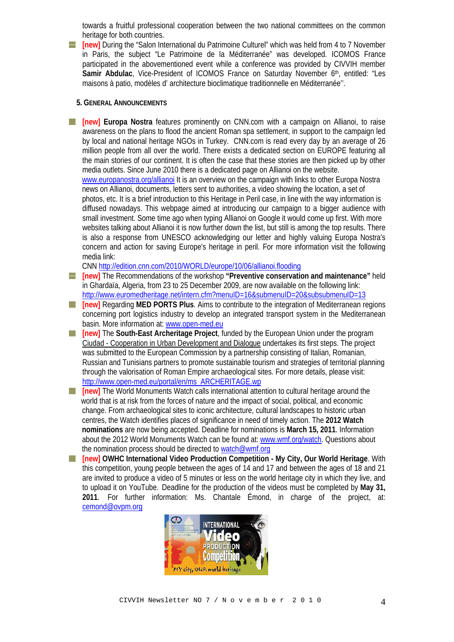towards a fruitful professional cooperation between the two national committees on the common heritage for both countries.

-1 **[new]** During the "Salon International du Patrimoine Culturel" which was held from 4 to 7 November in Paris, the subject "Le Patrimoine de la Méditerranée" was developed. ICOMOS France participated in the abovementioned event while a conference was provided by CIVVIH member **Samir Abdulac, Vice-President of ICOMOS France on Saturday November 6th, entitled: "Les** maisons à patio, modèles d' architecture bioclimatique traditionnelle en Méditerranée''.

#### **5. GENERAL ANNOUNCEMENTS**

**[new] Europa Nostra** features prominently on CNN.com with a campaign on Allianoi, to raise awareness on the plans to flood the ancient Roman spa settlement, in support to the campaign led by local and national heritage NGOs in Turkey. CNN.com is read every day by an average of 26 million people from all over the world. There exists a dedicated section on EUROPE featuring all the main stories of our continent. It is often the case that these stories are then picked up by other media outlets. Since June 2010 there is a dedicated page on Allianoi on the website.

 [www.europanostra.org/allianoi](http://www.europanostra.org/allianoi) It is an overview on the campaign with links to other Europa Nostra news on Allianoi, documents, letters sent to authorities, a video showing the location, a set of photos, etc. It is a brief introduction to this Heritage in Peril case, in line with the way information is diffused nowadays. This webpage aimed at introducing our campaign to a bigger audience with small investment. Some time ago when typing Allianoi on Google it would come up first. With more websites talking about Allianoi it is now further down the list, but still is among the top results. There is also a response from UNESCO acknowledging our letter and highly valuing Europa Nostra's concern and action for saving Europe's heritage in peril. For more information visit the following media link:

CNN <http://edition.cnn.com/2010/WORLD/europe/10/06/allianoi.flooding>

- **[new]** The Recommendations of the workshop **["Preventive conservation and maintenance"](http://www.euromedheritage.net/euroshared/doc/100901%20Recommendations%20THE_01%20ENG%20rev%20cdn.pdf)** held [in Ghardaïa, Algeria, from 23 to 25 December 2009, are now available](http://www.euromedheritage.net/euroshared/doc/100901%20Recommendations%20THE_01%20ENG%20rev%20cdn.pdf) on the following link: <http://www.euromedheritage.net/intern.cfm?menuID=16&submenuID=20&subsubmenuID=13>
- **[new]** Regarding **MED PORTS Plus**. Aims to contribute to the integration of Mediterranean regions  $\mathbb{R}^n$ concerning port logistics industry to develop an integrated transport system in the Mediterranean basin. More information at: [www.open-med.eu](http://www.open-med.eu/)
- **[new]** The **South-East Archeritage Project**, funded by the European Union under the program H [Ciudad - Cooperation in Urban Development and Dialogue](http://www.ciudad-programme.eu/) undertakes its first steps. The project was submitted to the European Commission by a partnership consisting of Italian, Romanian, Russian and Tunisians partners to promote sustainable tourism and strategies of territorial planning through the valorisation of Roman Empire archaeological sites. For more details, please visit: [http://www.open-med.eu/portal/en/ms\\_ARCHERITAGE.wp](http://www.open-med.eu/portal/en/ms_ARCHERITAGE.wp)
- **[attent]** The World Monuments Watch calls international attention to cultural heritage around the world that is at risk from the forces of nature and the impact of social, political, and economic change. From archaeological sites to iconic architecture, cultural landscapes to historic urban centres, the Watch identifies places of significance in need of timely action. The **2012 Watch nominations** are now being accepted. Deadline for nominations is **March 15, 2011**. Information about the 2012 World Monuments Watch can be found at: [www.wmf.org/watch](http://www.wmf.org/watch). Questions about the nomination process should be directed to [watch@wmf.org](mailto:watch@wmf.org)
- **[new] OWHC International Video Production Competition My City, Our World Heritage**. With this competition, young people between the ages of 14 and 17 and between the ages of 18 and 21 are invited to produce a video of 5 minutes or less on the world heritage city in which they live, and to upload it on YouTube. Deadline for the production of the videos must be completed by **May 31, 2011**. For further information: Ms. Chantale Émond, in charge of the project, at: [cemond@ovpm.org](mailto:cemond@ovpm.org)

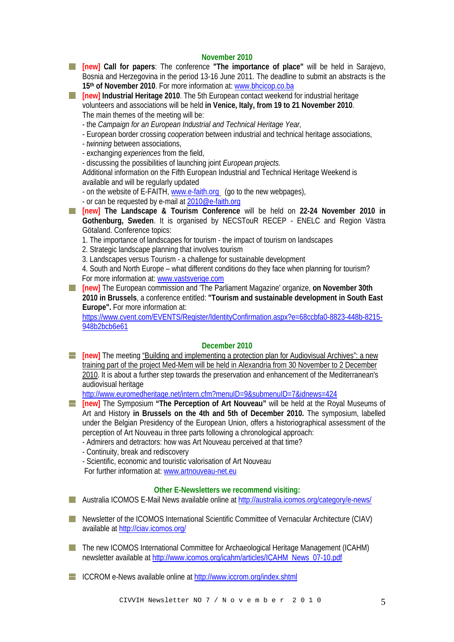## **November 2010**

**[new] Call for papers**: The conference **"The importance of place"** will be held in Sarajevo, Bosnia and Herzegovina in the period 13-16 June 2011. The deadline to submit an abstracts is the 15<sup>th</sup> of November 2010. For more information at: [www.bhcicop.co.ba](http://www.bhcicop.co.ba/)

**[ackbc]** Industrial Heritage 2010. The 5th European contact weekend for industrial heritage volunteers and associations will be held **in Venice, Italy, from 19 to 21 November 2010**. The main themes of the meeting will be:

- the *Campaign for an European Industrial and Technical Heritage Year,* 

- European border crossing *cooperation* between industrial and technical heritage associations,

- *twinning* between associations,
- exchanging *experiences* from the field,
- discussing the possibilities of launching joint *European projects.*

Additional information on the Fifth European Industrial and Technical Heritage Weekend is available and will be regularly updated

- on the website of E-FAITH, [www.e-faith.org](http://www.e-faith.org/) (go to the new webpages),
- or can be requested by e-mail at [2010@e-faith.org](mailto:2010@e-faith.org)

**[new] The Landscape & Tourism Conference** will be held on **22-24 November 2010 in Gothenburg, Sweden**. It is organised by NECSTouR RECEP - ENELC and Region Västra Götaland. Conference topics:

- 1. The importance of landscapes for tourism the impact of tourism on landscapes
- 2. Strategic landscape planning that involves tourism
- 3. Landscapes versus Tourism a challenge for sustainable development

 4. South and North Europe – what different conditions do they face when planning for tourism? For more information at: [www.vastsverige.com](http://www.vastsverige.com/)

**[new]** The European commission and 'The Parliament Magazine' organize, **on November 30th 2010 in Brussels**, a conference entitled: **"Tourism and sustainable development in South East Europe".** For more information at:

[https://www.cvent.com/EVENTS/Register/IdentityConfirmation.aspx?e=68ccbfa0-8823-448b-8215-](https://www.cvent.com/EVENTS/Register/IdentityConfirmation.aspx?e=68ccbfa0-8823-448b-8215-948b2bcb6e61) 948b2bcb6e61

## **December 2010**

**[inew]** The meeting "Building and implementing a protection plan for Audiovisual Archives": a new [training part of the project Med-Mem will be held in Alexandria from 30 November to 2 December](http://www.euromedheritage.net/intern.cfm?menuID=9&submenuID=7&idnews=424)  [2010.](http://www.euromedheritage.net/intern.cfm?menuID=9&submenuID=7&idnews=424) It is about a further step towards the preservation and enhancement of the Mediterranean's audiovisual heritage

<http://www.euromedheritage.net/intern.cfm?menuID=9&submenuID=7&idnews=424>

- **[new]** The Symposium **"The Perception of Art Nouveau"** will be held at the Royal Museums of Art and History **in Brussels on the 4th and 5th of December 2010.** The symposium, labelled under the Belgian Presidency of the European Union, offers a historiographical assessment of the perception of Art Nouveau in three parts following a chronological approach:
	- Admirers and detractors: how was Art Nouveau perceived at that time?
	- Continuity, break and rediscovery
	- Scientific, economic and touristic valorisation of Art Nouveau

For further information at: [www.artnouveau-net.eu](http://www.artnouveau-net.eu/) 

## **Other E-Newsletters we recommend visiting:**

Australia ICOMOS E-Mail News available online at<http://australia.icomos.org/category/e-news/>

- **T** Newsletter of the ICOMOS International Scientific Committee of Vernacular Architecture (CIAV) available at<http://ciav.icomos.org/>
- The new ICOMOS International Committee for Archaeological Heritage Management (ICAHM) newsletter available at [http://www.icomos.org/icahm/articles/ICAHM\\_News\\_07-10.pdf](http://www.icomos.org/icahm/articles/ICAHM_News_07-10.pdf)

ICCROM e-News available online at <http://www.iccrom.org/index.shtml>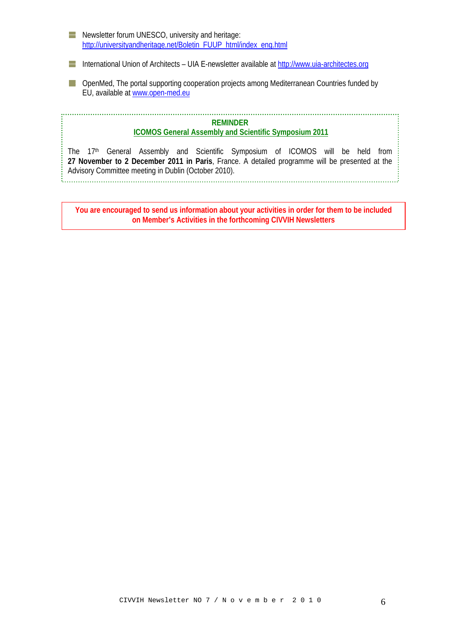| a ka                     | Newsletter forum UNESCO, university and heritage:<br>http://universityandheritage.net/Boletin FUUP html/index eng.html                                                           |
|--------------------------|----------------------------------------------------------------------------------------------------------------------------------------------------------------------------------|
| $\overline{\phantom{a}}$ | International Union of Architects – UIA E-newsletter available at http://www.uia-architectes.org                                                                                 |
|                          | OpenMed, The portal supporting cooperation projects among Mediterranean Countries funded by<br>EU, available at www.open-med.eu                                                  |
|                          | <b>REMINDER</b><br><b>ICOMOS General Assembly and Scientific Symposium 2011</b><br>The 17 <sup>th</sup> General Assembly and Scientific Symposium of ICOMOS will be held<br>from |
|                          | 27 November to 2 December 2011 in Paris, France. A detailed programme will be presented at the                                                                                   |

**You are encouraged to send us information about your activities in order for them to be included on Member's Activities in the forthcoming CIVVIH Newsletters**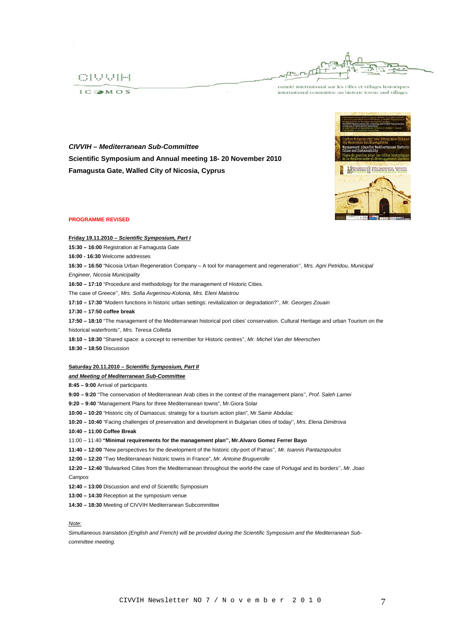

 $ICSMOS$ 

comité international sur les villes et villages historiques international committee on historic towns and villages

*CIVVIH – Mediterranean Sub-Committee*  **Scientific Symposium and Annual meeting 18- 20 November 2010 Famagusta Gate, Walled City of Nicosia, Cyprus** 



#### **PROGRAMME REVISED**

#### **Friday 19.11.2010 –** *Scientific Symposium, Part I*

**15:30 – 16:00** Registration at Famagusta Gate

**16:00 - 16:30** Welcome addresses

**16:30 – 16:50** "Nicosia Urban Regeneration Company – A tool for management and regeneration'', *Mrs. Agni Petridou, Municipal* 

*Engineer, Nicosia Municipality*

**16:50 – 17:10** "Procedure and methodology for the management of Historic Cities.

The case of Greece'', *Mrs. Sofia Avgerinou-Kolonia, Mrs. Eleni Maistrou*

**17:10 – 17:30** "Modern functions in historic urban settings: revitalization or degradation?'', *Mr. Georges Zouain*

**17:30 – 17:50 coffee break** 

**17:50 – 18:10** "The management of the Mediterranean historical port cities' conservation. Cultural Heritage and urban Tourism on the historical waterfronts'', *Mrs. Teresa Colletta*

**18:10 – 18:30** "Shared space: a concept to remember for Historic centres'', *Mr. Michel Van der Meerschen*

**18:30 – 18:50** Discussion

#### **Saturday 20.11.2010 –** *Scientific Symposium, Part II*

#### *and Meeting of Mediterranean Sub-Committee*

**8:45 – 9:00** Arrival of participants

**9:00 – 9:20** "The conservation of Mediterranean Arab cities in the context of the management plans'', *Prof. Saleh Lamei*

**9:20 – 9:40** "Management Plans for three Mediterranean towns", Mr.Giora Solar

**10:00 – 10:20** "Historic city of Damascus: strategy for a tourism action plan", Mr.Samir Abdulac

**10:20 – 10:40** "Facing challenges of preservation and development in Bulgarian cities of today'', *Mrs. Elena Dimitrova* 

- **10:40 11:00 Coffee Break**
- 11:00 11:40 **"Minimal requirements for the management plan'', Mr.Alvaro Gomez Ferrer Bayo**
- **11:40 12:00** "New perspectives for the development of the historic city-port of Patras'', *Mr. Ioannis Pantazopoulos*

**12:00 – 12:20** "Two Mediterranean historic towns in France", *Mr. Antoine Bruguerolle*

**12:20 – 12:40** "Bulwarked Cities from the Mediterranean throughout the world-the case of Portugal and its borders'', *Mr. Joao Campos*

**12:40 – 13:00** Discussion and end of Scientific Symposium

**13:00 – 14:30** Reception at the symposium venue

**14:30 – 18:30** Meeting of CIVVIH Mediterranean Subcommittee

*Note:*

*Simultaneous translation (English and French) will be provided during the Scientific Symposium and the Mediterranean Subcommittee meeting.*